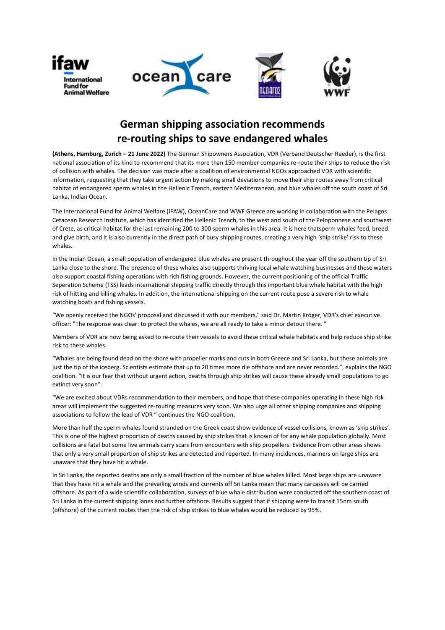







## German shipping association recommends re-routing ships to save endangered whales

(Athens, Hamburg, Zurich – 21 June 2022) The German Shipowners Association, VDR (Verband Deutscher Reeder), is the first national association of its kind to recommend that its more than 150 member companies re-route their ships to reduce the risk of collision with whales. The decision was made after a coalition of environmental NGOs approached VDR with scientific information, requesting that they take urgent action by making small deviations to move their ship routes away from critical habitat of endangered sperm whales in the Hellenic Trench, eastern Mediterranean, and blue whales off the south coast of Sri Lanka, Indian Ocean.

The International Fund for Animal Welfare (IFAW), OceanCare and WWF Greece are working in collaboration with the Pelagos Cetacean Research Institute, which has identified the Hellenic Trench, to the west and south of the Peloponnese and southwest of Crete, as critical habitat for the last remaining 200 to 300 sperm whales in this area. It is here thatsperm whales feed, breed and give birth, and it is also currently in the direct path of busy shipping routes, creating a very high 'ship strike' risk to these whales.

In the Indian Ocean, a small population of endangered blue whales are present throughout the year off the southern tip of Sri Lanka close to the shore. The presence of these whales also supports thriving local whale watching businesses and these waters also support coastal fishing operations with rich fishing grounds. However, the current positioning of the official Traffic Seperation Scheme (TSS) leads international shipping traffic directly through this important blue whale habitat with the high risk of hitting and killing whales. In addition, the international shipping on the current route pose a severe risk to whale watching boats and fishing vessels.

"We openly received the NGOs' proposal and discussed it with our members," said Dr. Martin Kröger, VDR's chief executive officer: "The response was clear: to protect the whales, we are all ready to take a minor detour there. "

Members of VDR are now being asked to re-route their vessels to avoid these critical whale habitats and help reduce ship strike risk to these whales.

"Whales are being found dead on the shore with propeller marks and cuts in both Greece and Sri Lanka, but these animals are just the tip of the iceberg. Scientists estimate that up to 20 times more die offshore and are never recorded.", explains the NGO coalition. "It is our fear that without urgent action, deaths through ship strikes will cause these already small populations to go extinct very soon".

"We are excited about VDRs recommendation to their members, and hope that these companies operating in these high risk areas will implement the suggested re-routing measures very soon. We also urge all other shipping companies and shipping associations to follow the lead of VDR " continues the NGO coalition.

More than half the sperm whales found stranded on the Greek coast show evidence of vessel collisions, known as 'ship strikes'. This is one of the highest proportion of deaths caused by ship strikes that is known of for any whale population globally. Most collisions are fatal but some live animals carry scars from encounters with ship propellers. Evidence from other areas shows that only a very small proportion of ship strikes are detected and reported. In many incidences, mariners on large ships are unaware that they have hit a whale.

In Sri Lanka, the reported deaths are only a small fraction of the number of blue whales killed. Most large ships are unaware that they have hit a whale and the prevailing winds and currents off Sri Lanka mean that many carcasses will be carried offshore. As part of a wide scientific collaboration, surveys of blue whale distribution were conducted off the southern coast of Sri Lanka in the current shipping lanes and further offshore. Results suggest that if shipping were to transit 15nm south (offshore) of the current routes then the risk of ship strikes to blue whales would be reduced by 95%.